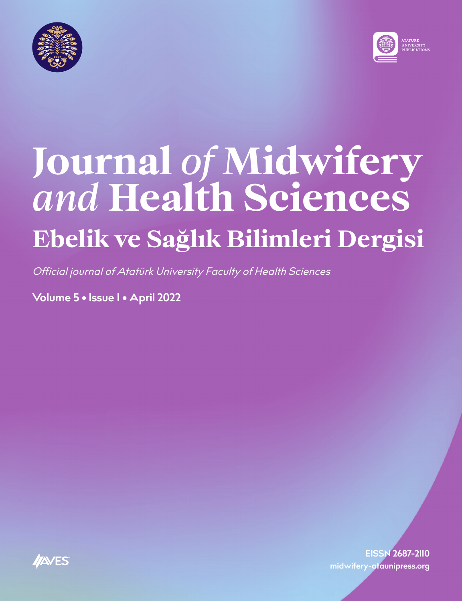



# **Journal** *of* **Midwifery** *and* **Health Sciences Ebelik ve Sağlık Bilimleri Dergisi**

Official journal of Atatürk University Faculty of Health Sciences

**Volume 5 • Issue 1 • April 2022**

**EISSN 2687-2110 midwifery-ataunipress.org**

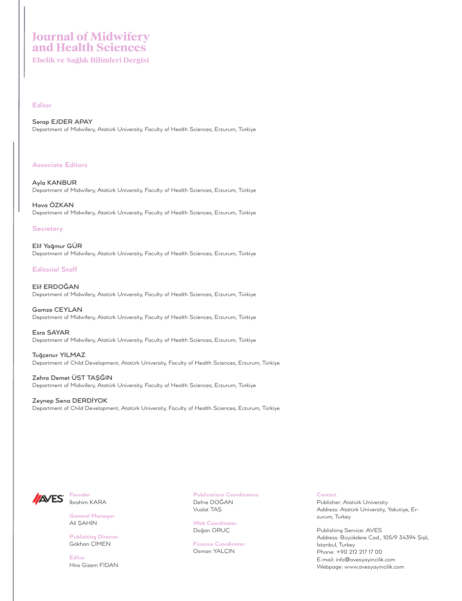# **Journal of Midwifery and Health Sciences**

**Ebelik ve Sağlık Bilimleri Dergisi**

### **Editor**

Serap EJDER APAY Department of Midwifery, Atatürk University, Faculty of Health Sciences, Erzurum, Türkiye

### **Associate Editors**

Ayla KANBUR Department of Midwifery, Atatürk University, Faculty of Health Sciences, Erzurum, Türkiye

Hava ÖZKAN Department of Midwifery, Atatürk University, Faculty of Health Sciences, Erzurum, Türkiye

### **Secretary**

Elif Yağmur GÜR Department of Midwifery, Atatürk University, Faculty of Health Sciences, Erzurum, Türkiye

### **Editorial Staff**

Elif ERDOĞAN Department of Midwifery, Atatürk University, Faculty of Health Sciences, Erzurum, Türkiye

Gamze CEYLAN Department of Midwifery, Atatürk University, Faculty of Health Sciences, Erzurum, Türkiye

Esra SAYAR Department of Midwifery, Atatürk University, Faculty of Health Sciences, Erzurum, Türkiye

Tuğçenur YILMAZ Department of Child Development, Atatürk University, Faculty of Health Sciences, Erzurum, Türkiye

Zehra Demet ÜST TAŞĞIN Department of Midwifery, Atatürk University, Faculty of Health Sciences, Erzurum, Türkiye

Zeynep Sena DERDİYOK Department of Child Development, Atatürk University, Faculty of Health Sciences, Erzurum, Türkiye



**Founder** İbrahim KARA

**General Manager** Ali ŞAHİN

**Publishing Director** Gökhan ÇİMEN

**Editor** Hira Gizem FİDAN

**Publications Coordinators** Defne DOĞAN Vuslat TAŞ

**Web Coordinator** Doğan ORUÇ

**Finance Coordinator** Osman YALÇIN

**Contact**

Publisher: Atatürk University Address: Atatürk University, Yakutiye, Erzurum, Turkey

Publishing Service: AVES Address: Büyükdere Cad., 105/9 34394 Şişli, İstanbul, Turkey Phone: +90 212 217 17 00 E-mail: info@avesyayincilik.com Webpage: www.avesyayincilik.com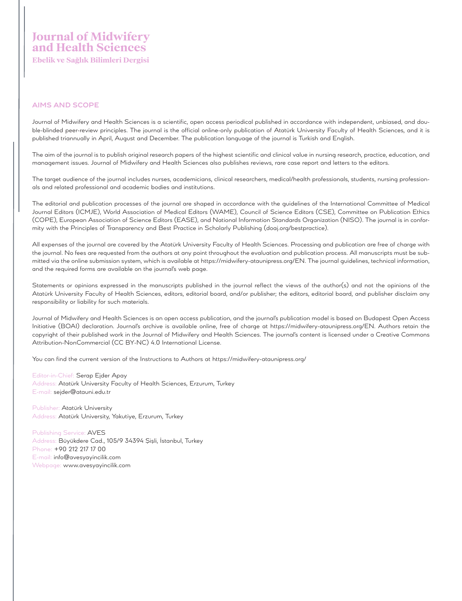## **AIMS AND SCOPE**

Journal of Midwifery and Health Sciences is a scientific, open access periodical published in accordance with independent, unbiased, and double-blinded peer-review principles. The journal is the official online-only publication of Atatürk University Faculty of Health Sciences, and it is published triannually in April, August and December. The publication language of the journal is Turkish and English.

The aim of the journal is to publish original research papers of the highest scientific and clinical value in nursing research, practice, education, and management issues. Journal of Midwifery and Health Sciences also publishes reviews, rare case report and letters to the editors.

The target audience of the journal includes nurses, academicians, clinical researchers, medical/health professionals, students, nursing professionals and related professional and academic bodies and institutions.

The editorial and publication processes of the journal are shaped in accordance with the guidelines of the International Committee of Medical Journal Editors (ICMJE), World Association of Medical Editors (WAME), Council of Science Editors (CSE), Committee on Publication Ethics (COPE), European Association of Science Editors (EASE), and National Information Standards Organization (NISO). The journal is in conformity with the Principles of Transparency and Best Practice in Scholarly Publishing (doaj.org/bestpractice).

All expenses of the journal are covered by the Atatürk University Faculty of Health Sciences. Processing and publication are free of charge with the journal. No fees are requested from the authors at any point throughout the evaluation and publication process. All manuscripts must be submitted via the online submission system, which is available at https://midwifery-ataunipress.org/EN. The journal guidelines, technical information, and the required forms are available on the journal's web page.

Statements or opinions expressed in the manuscripts published in the journal reflect the views of the author(s) and not the opinions of the Atatürk University Faculty of Health Sciences, editors, editorial board, and/or publisher; the editors, editorial board, and publisher disclaim any responsibility or liability for such materials.

Journal of Midwifery and Health Sciences is an open access publication, and the journal's publication model is based on Budapest Open Access Initiative (BOAI) declaration. Journal's archive is available online, free of charge at https://midwifery-ataunipress.org/EN. Authors retain the copyright of their published work in the Journal of Midwifery and Health Sciences. The journal's content is licensed under a Creative Commons Attribution-NonCommercial (CC BY-NC) 4.0 International License.

You can find the current version of the Instructions to Authors at https://midwifery-ataunipress.org/

Editor-in-Chief: Serap Ejder Apay Address: Atatürk University Faculty of Health Sciences, Erzurum, Turkey E-mail: sejder@atauni.edu.tr

Publisher: Atatürk University Address: Atatürk University, Yakutiye, Erzurum, Turkey

Publishing Service: AVES Address: Büyükdere Cad., 105/9 34394 Şişli, İstanbul, Turkey Phone: +90 212 217 17 00 E-mail: info@avesyayincilik.com Webpage: www.avesyayincilik.com